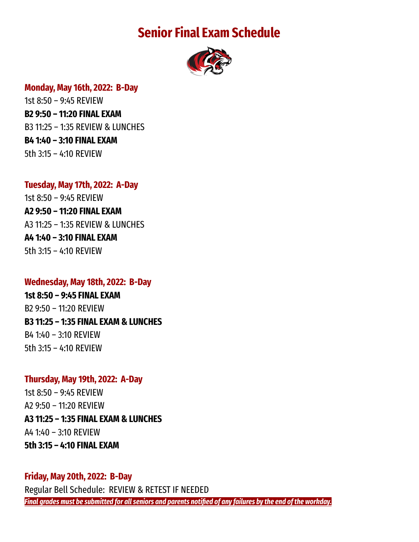# **Senior Final Exam Schedule**



#### **Monday, May 16th, 2022: B-Day**

1st 8:50 – 9:45 REVIEW **B2 9:50 – 11:20 FINAL EXAM** B3 11:25 – 1:35 REVIEW & LUNCHES **B4 1:40 – 3:10 FINAL EXAM** 5th 3:15 – 4:10 REVIEW

### **Tuesday, May 17th, 2022: A-Day**

1st 8:50 – 9:45 REVIEW **A2 9:50 – 11:20 FINAL EXAM** A3 11:25 – 1:35 REVIEW & LUNCHES **A4 1:40 – 3:10 FINAL EXAM** 5th 3:15 – 4:10 REVIEW

### **Wednesday, May 18th, 2022: B-Day**

**1st 8:50 – 9:45 FINAL EXAM** B2 9:50 – 11:20 REVIEW **B3 11:25 – 1:35 FINAL EXAM & LUNCHES** B4 1:40 – 3:10 REVIEW 5th 3:15 – 4:10 REVIEW

## **Thursday, May 19th, 2022: A-Day**

1st 8:50 – 9:45 REVIEW A2 9:50 – 11:20 REVIEW **A3 11:25 – 1:35 FINAL EXAM & LUNCHES** A4 1:40 – 3:10 REVIEW **5th 3:15 – 4:10 FINAL EXAM**

## **Friday, May 20th, 2022: B-Day** Regular Bell Schedule: REVIEW & RETEST IF NEEDED Final grades must be submitted for all seniors and parents notified of any failures by the end of the workday.